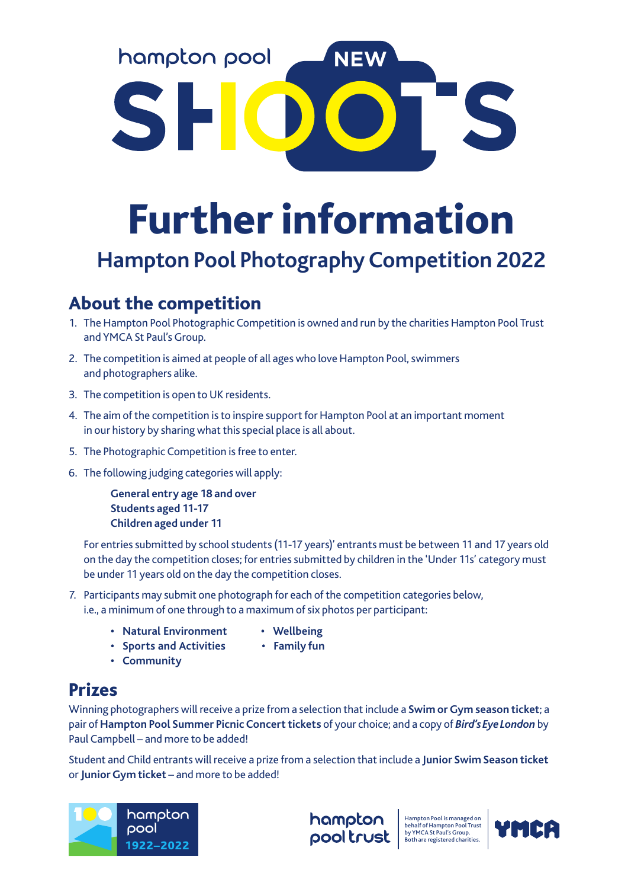hampton pool NEW

# Further information

# **Hampton Pool Photography Competition 2022**

# About the competition

- 1. The Hampton Pool Photographic Competition is owned and run by the charities Hampton Pool Trust and YMCA St Paul's Group.
- 2. The competition is aimed at people of all ages who love Hampton Pool, swimmers and photographers alike.
- 3. The competition is open to UK residents.
- 4. The aim of the competition is to inspire support for Hampton Pool at an important moment in our history by sharing what this special place is all about.
- 5. The Photographic Competition is free to enter.
- 6. The following judging categories will apply:

 **General entry age 18 and over Students aged 11-17 Children aged under 11**

 For entries submitted by school students (11-17 years)' entrants must be between 11 and 17 years old on the day the competition closes; for entries submitted by children in the 'Under 11s' category must be under 11 years old on the day the competition closes.

- 7. Participants may submit one photograph for each of the competition categories below, i.e., a minimum of one through to a maximum of six photos per participant:
	- **Natural Environment Wellbeing**
		-
	- **Sports and Activities Family fun**
	- **Community**

# Prizes

Winning photographers will receive a prize from a selection that include a **Swim or Gym season ticket**; a pair of **Hampton Pool Summer Picnic Concert tickets** of your choice; and a copy of *Bird's Eye London* by Paul Campbell – and more to be added!

Student and Child entrants will receive a prize from a selection that include a **Junior Swim Season ticket** or **Junior Gym ticket** – and more to be added!



hampton pool trust Hampton Pool is managed on behalf of Hampton Pool Trust by YMCA St Paul's Group. Both are registered charities.